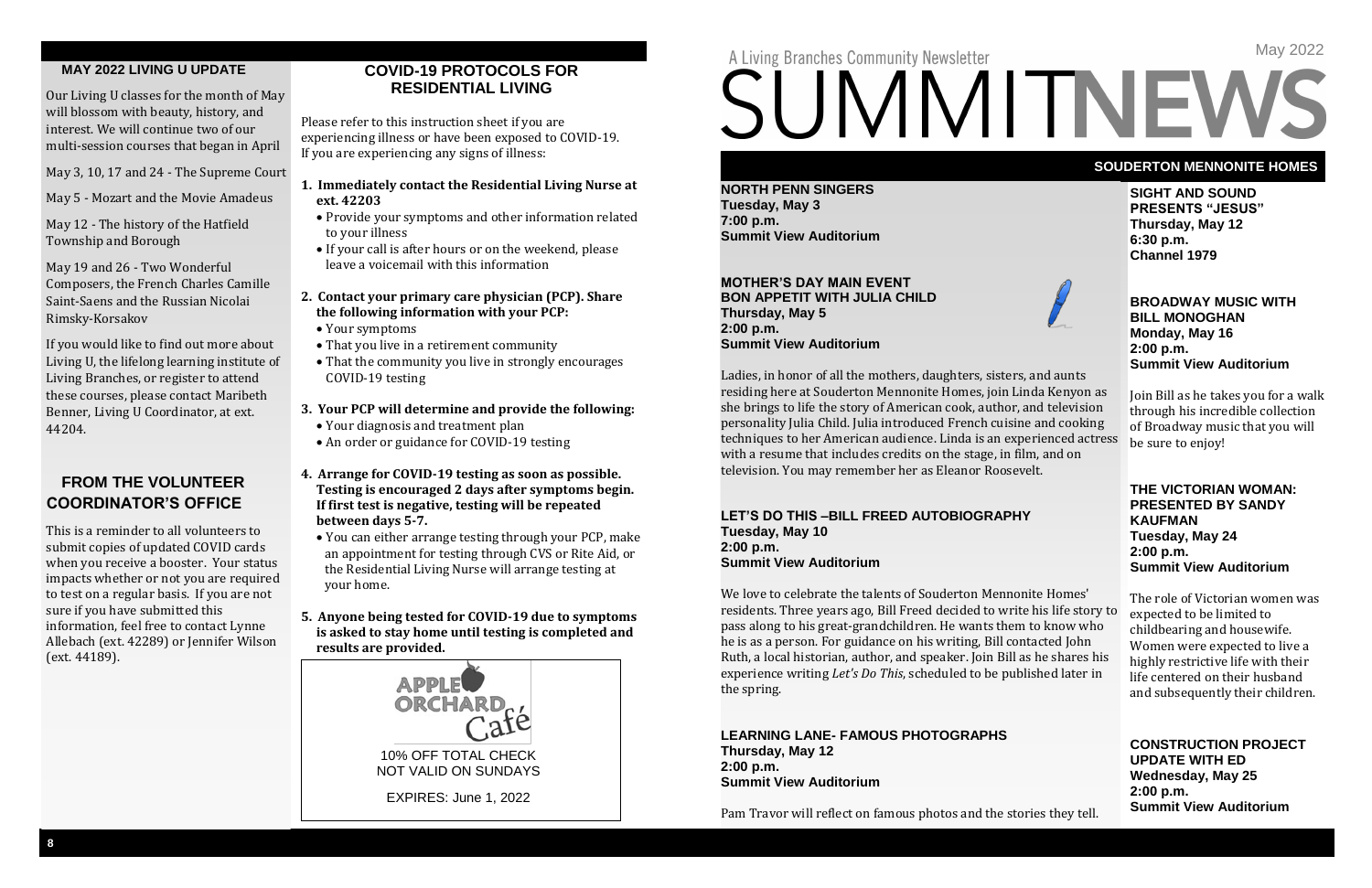**SIGHT AND SOUND PRESENTS "JESUS" Thursday, May 12 6:30 p.m. Channel 1979** 



#### **BROADWAY MUSIC WITH BILL MONOGHAN Monday, May 16 2:00 p.m. Summit View Auditorium**

Join Bill as he takes you for a walk through his incredible collection of Broadway music that you will be sure to enjoy!

#### **THE VICTORIAN WOMAN: PRESENTED BY SANDY KAUFMAN Tuesday, May 24 2:00 p.m. Summit View Auditorium**

The role of Victorian women was expected to be limited to childbearing and housewife. Women were expected to live a highly restrictive life with their life centered on their husband and subsequently their children.

**CONSTRUCTION PROJECT UPDATE WITH ED Wednesday, May 25 2:00 p.m. Summit View Auditorium**

#### **SOUDERTON MENNONITE HOMES**

**NORTH PENN SINGERS Tuesday, May 3 7:00 p.m. Summit View Auditorium**

#### **MOTHER'S DAY MAIN EVENT BON APPETIT WITH JULIA CHILD Thursday, May 5 2:00 p.m. Summit View Auditorium**

Ladies, in honor of all the mothers, daughters, sisters, and aunts residing here at Souderton Mennonite Homes, join Linda Kenyon as she brings to life the story of American cook, author, and television personality Julia Child. Julia introduced French cuisine and cooking techniques to her American audience. Linda is an experienced actress with a resume that includes credits on the stage, in film, and on television. You may remember her as Eleanor Roosevelt.

#### **LET'S DO THIS –BILL FREED AUTOBIOGRAPHY Tuesday, May 10 2:00 p.m. Summit View Auditorium**

We love to celebrate the talents of Souderton Mennonite Homes' residents. Three years ago, Bill Freed decided to write his life story to pass along to his great-grandchildren. He wants them to know who he is as a person. For guidance on his writing, Bill contacted John Ruth, a local historian, author, and speaker. Join Bill as he shares his experience writing *Let's Do This*, scheduled to be published later in the spring.

#### **LEARNING LANE- FAMOUS PHOTOGRAPHS Thursday, May 12 2:00 p.m. Summit View Auditorium**

Pam Travor will reflect on famous photos and the stories they tell.

May 2022

# SUMMITNEWS

#### **MAY 2022 LIVING U UPDATE**

Our Living U classes for the month of May will blossom with beauty, history, and interest. We will continue two of our multi-session courses that began in April

May 3, 10, 17 and 24 - The Supreme Court

May 5 - Mozart and the Movie Amadeus

May 12 - The history of the Hatfield Township and Borough

May 19 and 26 - Two Wonderful Composers, the French Charles Camille Saint-Saens and the Russian Nicolai Rimsky-Korsakov

If you would like to find out more about Living U, the lifelong learning institute of Living Branches, or register to attend these courses, please contact Maribeth Benner, Living U Coordinator, at ext. 44204.

### **FROM THE VOLUNTEER COORDINATOR'S OFFICE**

This is a reminder to all volunteers to submit copies of updated COVID cards when you receive a booster. Your status impacts whether or not you are required to test on a regular basis. If you are not sure if you have submitted this information, feel free to contact Lynne Allebach (ext. 42289) or Jennifer Wilson (ext. 44189).

#### **COVID-19 PROTOCOLS FOR RESIDENTIAL LIVING**

Please refer to this instruction sheet if you are experiencing illness or have been exposed to COVID-19. If you are experiencing any signs of illness:

- **1. Immediately contact the Residential Living Nurse at ext. 42203**
	- Provide your symptoms and other information related to your illness
	- If your call is after hours or on the weekend, please leave a voicemail with this information

#### **2. Contact your primary care physician (PCP). Share the following information with your PCP:**

- Your symptoms
- That you live in a retirement community
- That the community you live in strongly encourages COVID-19 testing

#### **3. Your PCP will determine and provide the following:**

- Your diagnosis and treatment plan
- An order or guidance for COVID-19 testing
- **4. Arrange for COVID-19 testing as soon as possible. Testing is encouraged 2 days after symptoms begin. If first test is negative, testing will be repeated between days 5-7.**
	- You can either arrange testing through your PCP, make an appointment for testing through CVS or Rite Aid, or the Residential Living Nurse will arrange testing at your home.

#### **5. Anyone being tested for COVID-19 due to symptoms is asked to stay home until testing is completed and results are provided.**



# A Living Branches Community Newsletter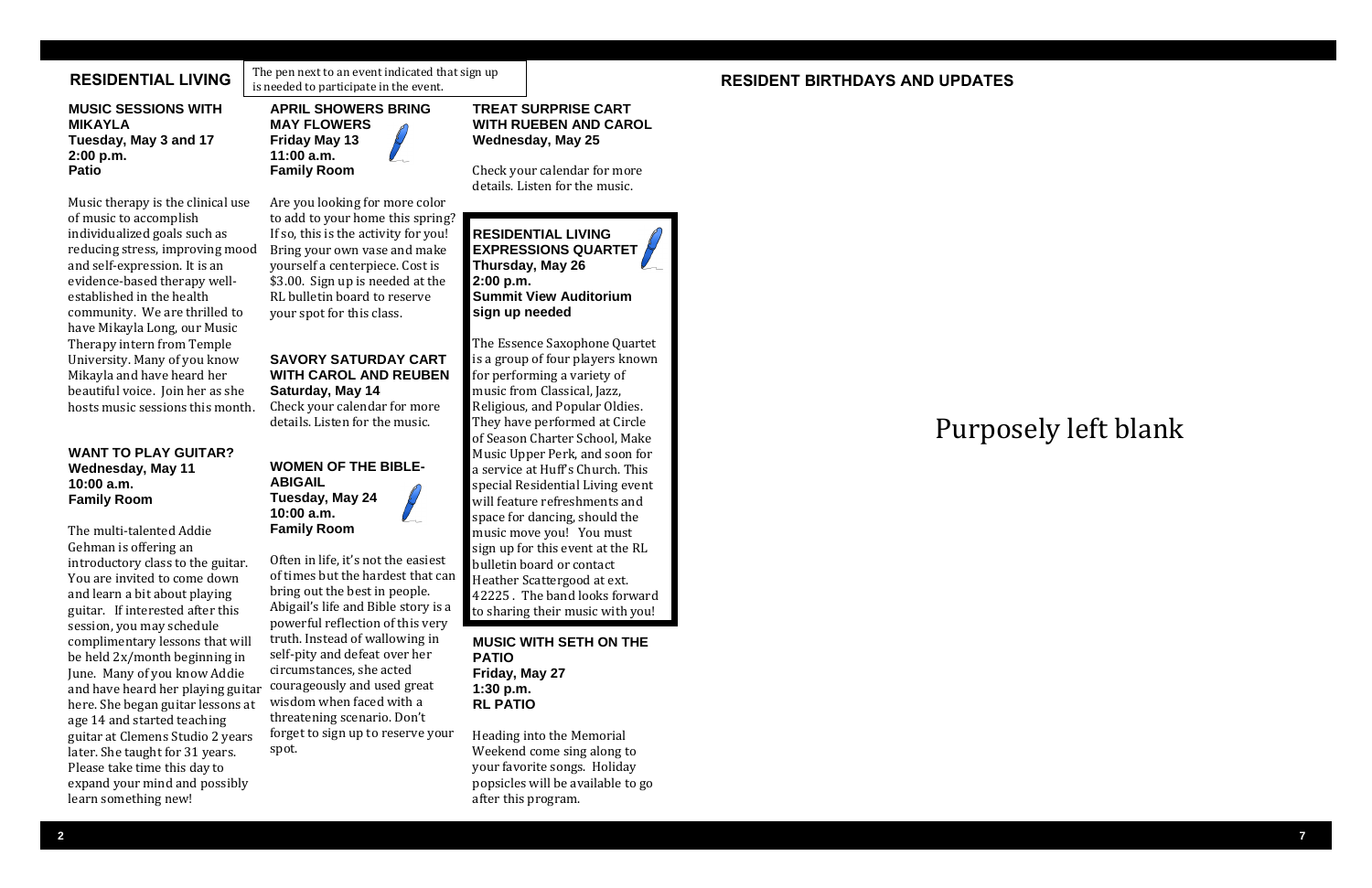#### **TREAT SURPRISE CART WITH RUEBEN AND CAROL Wednesday, May 25**

Check your calendar for more details. Listen for the music.

**RESIDENTIAL LIVING EXPRESSIONS QUARTET Thursday, May 26 2:00 p.m. Summit View Auditorium sign up needed**

The Essence Saxophone Quartet is a group of four players known for performing a variety of music from Classical, Jazz, Religious, and Popular Oldies. They have performed at Circle of Season Charter School, Make Music Upper Perk, and soon for a service at Huff's Church. This special Residential Living event will feature refreshments and space for dancing, should the music move you! You must sign up for this event at the RL bulletin board or contact Heather Scattergood at ext. 42225 . The band looks forward to sharing their music with you!

#### **MUSIC WITH SETH ON THE PATIO Friday, May 27 1:30 p.m. RL PATIO**

Heading into the Memorial Weekend come sing along to your favorite songs. Holiday popsicles will be available to go after this program.

**GOMER IN THE BIBLE WAS CONSTRUMED IN THE UNITED ASSESSED IN THE PROPERTIONS QUARTET** community. We are thrilled to your spot for this class. Sign up nee Music therapy is the clinical use of music to accomplish individualized goals such as and self-expression. It is an evidence-based therapy wellestablished in the health have Mikayla Long, our Music Therapy intern from Temple University. Many of you know Mikayla and have heard her beautiful voice. Join her as she hosts music sessions this month.

#### **RESIDENTIAL LIVING**

**TUESDAY, MARCH 8 MUSIC SESSIONS WITH 10:00 A.M. Tuesday, May 3 and 17 Patio MIKAYLA 2:00 p.m.** 

#### **RESIDENT BIRTHDAYS AND UPDATES**

In the commutation of the state of the state of the significance of the significance of the activity for you!<br>If so, this is the activity for you! **RESIDENTIAL LIVING** and self-expression. It is an **the state of a centerpiece.** Cost is **Thursday, May 26** evidence-based therapy well-<br> **\$3.00.** Sign up is needed at the **2:00 p.m.** established in the health **RL** bulletin board to reserve **Summit View Auditorium** Are you looking for more color to add to your home this spring? Bring your own vase and make your spot for this class.

#### **WANT TO PLAY GUITAR? Wednesday, May 11 10:00 a.m. Family Room**

The multi-talented Addie Gehman is offering an introductory class to the guitar. You are invited to come down and learn a bit about playing guitar. If interested after this session, you may schedule complimentary lessons that will be held 2x/month beginning in June. Many of you know Addie and have heard her playing guitar here. She began guitar lessons at age 14 and started teaching guitar at Clemens Studio 2 years later. She taught for 31 years. Please take time this day to expand your mind and possibly learn something new!

**APRIL SHOWERS BRING MAY FLOWERS Friday May 13 11:00 a.m. Family Room** 

#### **SAVORY SATURDAY CART WITH CAROL AND REUBEN Saturday, May 14**

Check your calendar for more details. Listen for the music.

#### **WOMEN OF THE BIBLE-ABIGAIL Tuesday, May 24 10:00 a.m. Family Room**

Often in life, it's not the easiest of times but the hardest that can bring out the best in people. Abigail's life and Bible story is a powerful reflection of this very truth. Instead of wallowing in self-pity and defeat over her circumstances, she acted courageously and used great wisdom when faced with a threatening scenario. Don't forget to sign up to reserve your spot.

The pen next to an event indicated that sign up is needed to participate in the event.

# Purposely left blank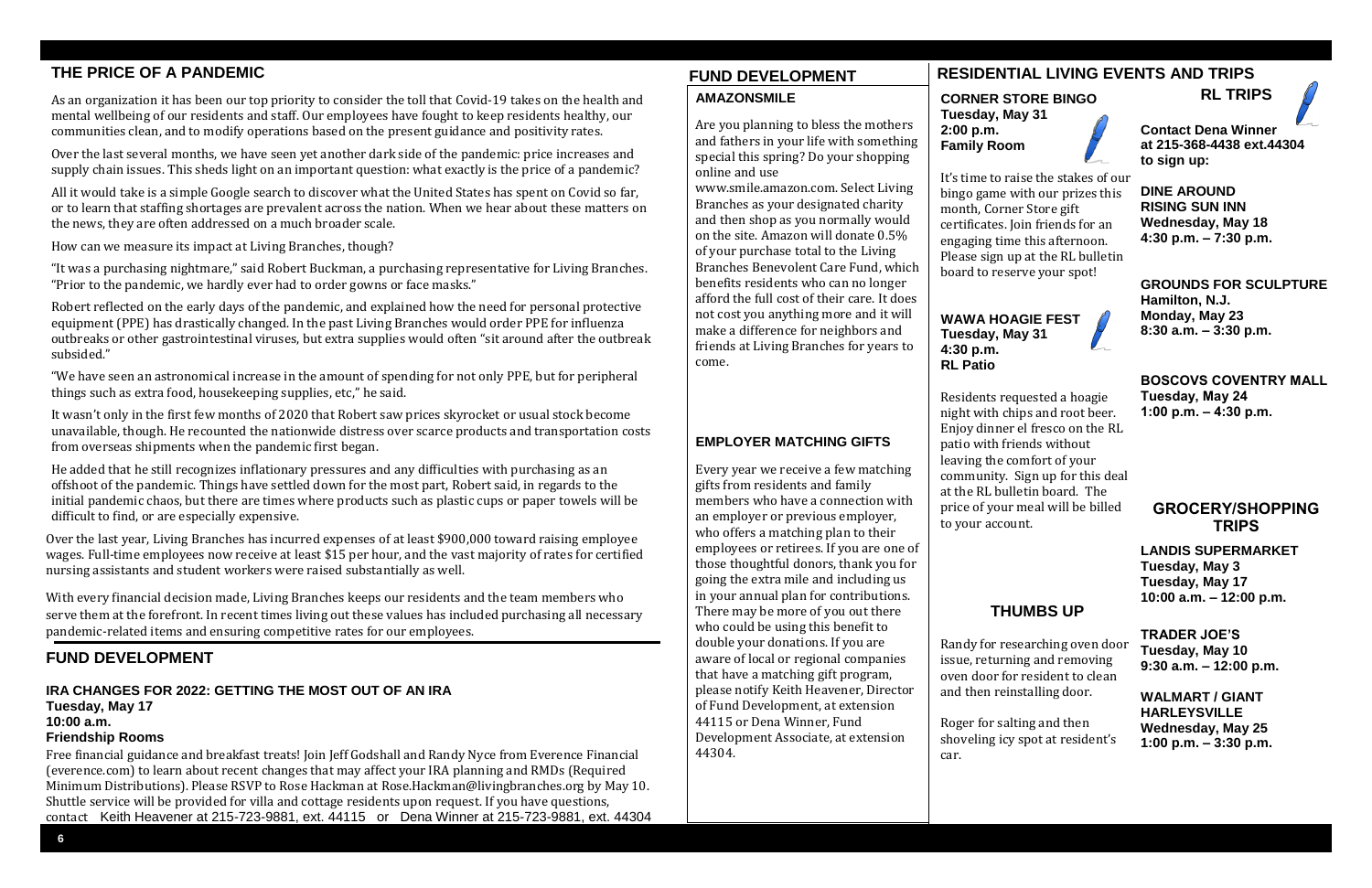#### **CORNER STORE BINGO Tuesday, May 31 2:00 p.m. Family Room**

It's time to raise the stakes of our bingo game with our prizes this month, Corner Store gift certificates. Join friends for an engaging time this afternoon. Please sign up at the RL bulletin board to reserve your spot!



## **Tuesday, May 31 4:30 p.m. RL Patio**

Residents requested a hoagie night with chips and root beer. Enjoy dinner el fresco on the RL patio with friends without leaving the comfort of your community. Sign up for this deal at the RL bulletin board. The price of your meal will be billed to your account.

#### **THUMBS UP**

Randy for researching oven door issue, returning and removing oven door for resident to clean and then reinstalling door.

Roger for salting and then shoveling icy spot at resident's

car.



### **RL TRIPS**



**DINE AROUND RISING SUN INN Wednesday, May 18 4:30 p.m. – 7:30 p.m.**

**GROUNDS FOR SCULPTURE Hamilton, N.J. Monday, May 23 8:30 a.m. – 3:30 p.m.**

**BOSCOVS COVENTRY MALL Tuesday, May 24 1:00 p.m. – 4:30 p.m.**

#### **GROCERY/SHOPPING TRIPS**

**LANDIS SUPERMARKET Tuesday, May 3 Tuesday, May 17 10:00 a.m. – 12:00 p.m.**

**TRADER JOE'S Tuesday, May 10 9:30 a.m. – 12:00 p.m.**

**WALMART / GIANT HARLEYSVILLE Wednesday, May 25 1:00 p.m. – 3:30 p.m.**



## **THE PRICE OF A PANDEMIC RESIDENTIAL LIVING EVENTS AND TRIPS**

As an organization it has been our top priority to consider the toll that Covid-19 takes on the health and mental wellbeing of our residents and staff. Our employees have fought to keep residents healthy, our communities clean, and to modify operations based on the present guidance and positivity rates.

Over the last several months, we have seen yet another dark side of the pandemic: price increases and supply chain issues. This sheds light on an important question: what exactly is the price of a pandemic?

All it would take is a simple Google search to discover what the United States has spent on Covid so far, or to learn that staffing shortages are prevalent across the nation. When we hear about these matters on the news, they are often addressed on a much broader scale.

How can we measure its impact at Living Branches, though?

"It was a purchasing nightmare," said Robert Buckman, a purchasing representative for Living Branches. "Prior to the pandemic, we hardly ever had to order gowns or face masks."

Robert reflected on the early days of the pandemic, and explained how the need for personal protective equipment (PPE) has drastically changed. In the past Living Branches would order PPE for influenza outbreaks or other gastrointestinal viruses, but extra supplies would often "sit around after the outbreak subsided."

"We have seen an astronomical increase in the amount of spending for not only PPE, but for peripheral things such as extra food, housekeeping supplies, etc," he said.

It wasn't only in the first few months of 2020 that Robert saw prices skyrocket or usual stock become unavailable, though. He recounted the nationwide distress over scarce products and transportation costs from overseas shipments when the pandemic first began.

He added that he still recognizes inflationary pressures and any difficulties with purchasing as an offshoot of the pandemic. Things have settled down for the most part, Robert said, in regards to the initial pandemic chaos, but there are times where products such as plastic cups or paper towels will be difficult to find, or are especially expensive.

Over the last year, Living Branches has incurred expenses of at least \$900,000 toward raising employee wages. Full-time employees now receive at least \$15 per hour, and the vast majority of rates for certified nursing assistants and student workers were raised substantially as well.

With every financial decision made, Living Branches keeps our residents and the team members who serve them at the forefront. In recent times living out these values has included purchasing all necessary pandemic-related items and ensuring competitive rates for our employees.

#### **FUND DEVELOPMENT**

#### **IRA CHANGES FOR 2022: GETTING THE MOST OUT OF AN IRA Tuesday, May 17 10:00 a.m.**

#### **Friendship Rooms**

Free financial guidance and breakfast treats! Join Jeff Godshall and Randy Nyce from Everence Financial (everence.com) to learn about recent changes that may affect your IRA planning and RMDs (Required Minimum Distributions). Please RSVP to Rose Hackman at Rose.Hackman@livingbranches.org by May 10. Shuttle service will be provided for villa and cottage residents upon request. If you have questions, contact Keith Heavener at 215-723-9881, ext. 44115 or Dena Winner at 215-723-9881, ext. 44304

# **FUND DEVELOPMENT**

### **AMAZONSMILE**

Are you planning to bless the mothers and fathers in your life with something special this spring? Do your shopping online and use

www.smile.amazon.com. Select Living Branches as your designated charity and then shop as you normally would on the site. Amazon will donate 0.5% of your purchase total to the Living Branches Benevolent Care Fund, which benefits residents who can no longer afford the full cost of their care. It does not cost you anything more and it will make a difference for neighbors and friends at Living Branches for years to come.

#### **EMPLOYER MATCHING GIFTS**

Every year we receive a few matching gifts from residents and family members who have a connection with an employer or previous employer, who offers a matching plan to their employees or retirees. If you are one of those thoughtful donors, thank you for going the extra mile and including us in your annual plan for contributions. There may be more of you out there who could be using this benefit to double your donations. If you are aware of local or regional companies that have a matching gift program, please notify Keith Heavener, Director of Fund Development, at extension 44115 or Dena Winner, Fund Development Associate, at extension 44304.